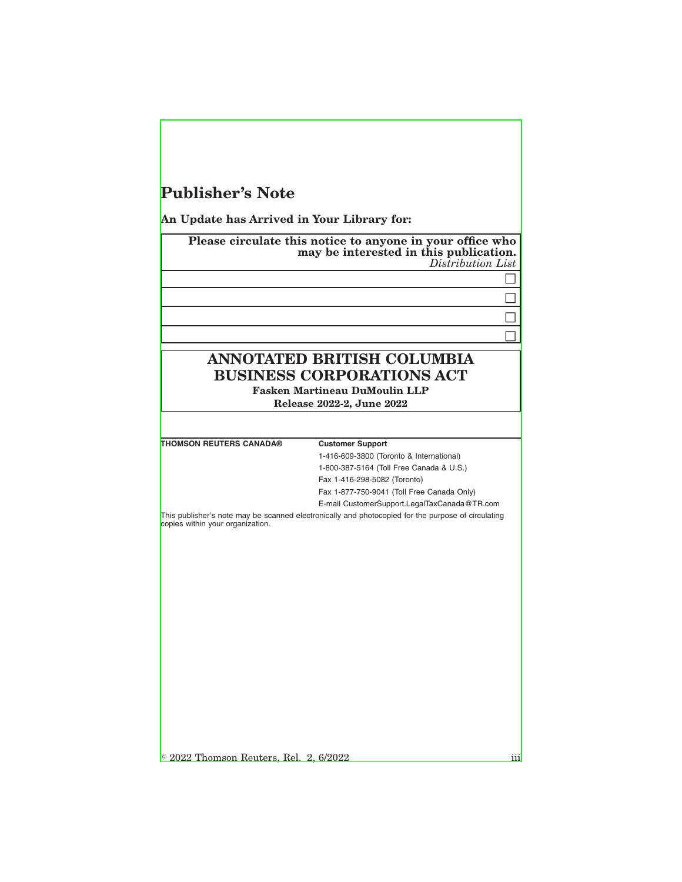## **Publisher's Note**

**An Update has Arrived in Your Library for:**

**Please circulate this notice to anyone in your office who may be interested in this publication.** *Distribution List*  $\Box$  $\Box$  $\Box$  $\Box$ **ANNOTATED BRITISH COLUMBIA BUSINESS CORPORATIONS ACT Fasken Martineau DuMoulin LLP Release 2022-2, June 2022 THOMSON REUTERS CANADA® Customer Support** 1-416-609-3800 (Toronto & International) 1-800-387-5164 (Toll Free Canada & U.S.) Fax 1-416-298-5082 (Toronto) Fax 1-877-750-9041 (Toll Free Canada Only) E-mail CustomerSupport.LegalTaxCanada@TR.com This publisher's note may be scanned electronically and photocopied for the purpose of circulating copies within your organization.

 $\circ$  2022 Thomson Reuters, Rel. 2, 6/2022 in the state of  $\overline{\text{iii}}$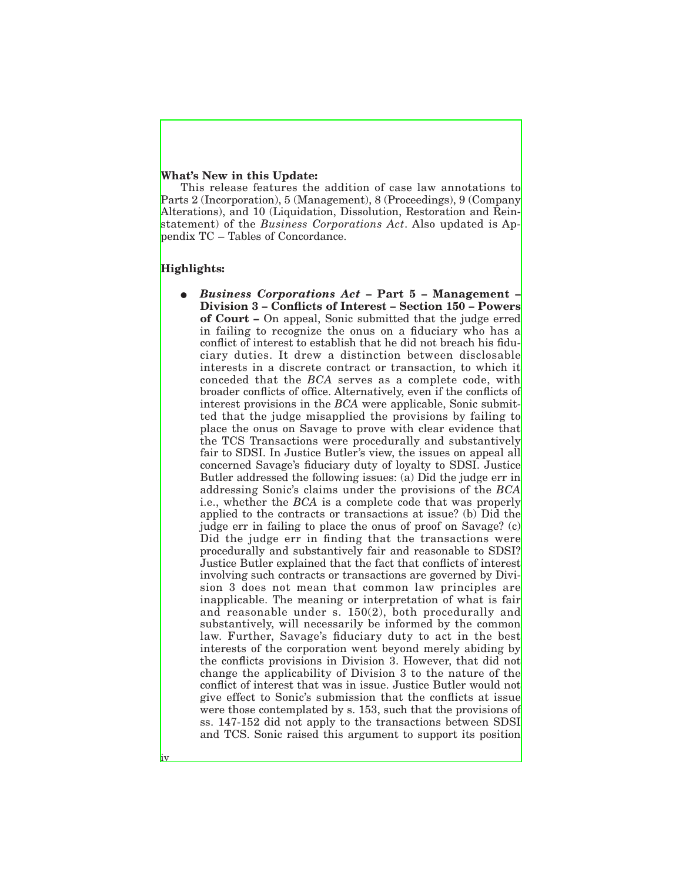## **What's New in this Update:**

This release features the addition of case law annotations to Parts 2 (Incorporation), 5 (Management), 8 (Proceedings), 9 (Company Alterations), and 10 (Liquidation, Dissolution, Restoration and Reinstatement) of the *Business Corporations Act*. Also updated is Appendix TC – Tables of Concordance.

## **Highlights:**

iv

E *Business Corporations Act* **– Part 5 – Management – Division 3 – Conflicts of Interest – Section 150 – Powers of Court –** On appeal, Sonic submitted that the judge erred in failing to recognize the onus on a fiduciary who has a conflict of interest to establish that he did not breach his fiduciary duties. It drew a distinction between disclosable interests in a discrete contract or transaction, to which it conceded that the *BCA* serves as a complete code, with broader conflicts of office. Alternatively, even if the conflicts of interest provisions in the *BCA* were applicable, Sonic submitted that the judge misapplied the provisions by failing to place the onus on Savage to prove with clear evidence that the TCS Transactions were procedurally and substantively fair to SDSI. In Justice Butler's view, the issues on appeal all concerned Savage's fiduciary duty of loyalty to SDSI. Justice Butler addressed the following issues: (a) Did the judge err in addressing Sonic's claims under the provisions of the *BCA* i.e., whether the *BCA* is a complete code that was properly applied to the contracts or transactions at issue? (b) Did the judge err in failing to place the onus of proof on Savage? (c) Did the judge err in finding that the transactions were procedurally and substantively fair and reasonable to SDSI? Justice Butler explained that the fact that conflicts of interest involving such contracts or transactions are governed by Division 3 does not mean that common law principles are inapplicable. The meaning or interpretation of what is fair and reasonable under s.  $150(2)$ , both procedurally and substantively, will necessarily be informed by the common law. Further, Savage's fiduciary duty to act in the best interests of the corporation went beyond merely abiding by the conflicts provisions in Division 3. However, that did not change the applicability of Division 3 to the nature of the conflict of interest that was in issue. Justice Butler would not give effect to Sonic's submission that the conflicts at issue were those contemplated by s. 153, such that the provisions of ss. 147-152 did not apply to the transactions between SDSI and TCS. Sonic raised this argument to support its position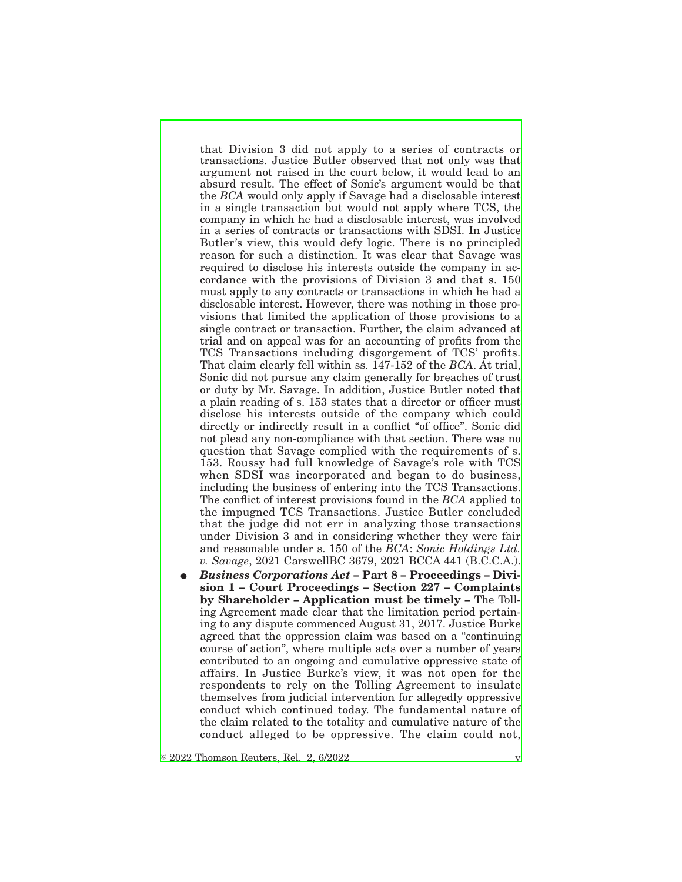that Division 3 did not apply to a series of contracts or transactions. Justice Butler observed that not only was that argument not raised in the court below, it would lead to an absurd result. The effect of Sonic's argument would be that the *BCA* would only apply if Savage had a disclosable interest in a single transaction but would not apply where TCS, the company in which he had a disclosable interest, was involved in a series of contracts or transactions with SDSI. In Justice Butler's view, this would defy logic. There is no principled reason for such a distinction. It was clear that Savage was required to disclose his interests outside the company in accordance with the provisions of Division 3 and that s. 150 must apply to any contracts or transactions in which he had a disclosable interest. However, there was nothing in those provisions that limited the application of those provisions to a single contract or transaction. Further, the claim advanced at trial and on appeal was for an accounting of profits from the TCS Transactions including disgorgement of TCS' profits. That claim clearly fell within ss. 147-152 of the *BCA*. At trial, Sonic did not pursue any claim generally for breaches of trust or duty by Mr. Savage. In addition, Justice Butler noted that a plain reading of s. 153 states that a director or officer must disclose his interests outside of the company which could directly or indirectly result in a conflict "of office". Sonic did not plead any non-compliance with that section. There was no question that Savage complied with the requirements of s. 153. Roussy had full knowledge of Savage's role with TCS when SDSI was incorporated and began to do business, including the business of entering into the TCS Transactions. The conflict of interest provisions found in the *BCA* applied to the impugned TCS Transactions. Justice Butler concluded that the judge did not err in analyzing those transactions under Division 3 and in considering whether they were fair and reasonable under s. 150 of the *BCA*: *Sonic Holdings Ltd. v. Savage*, 2021 CarswellBC 3679, 2021 BCCA 441 (B.C.C.A.).

E *Business Corporations Act* **– Part 8 – Proceedings – Division 1 – Court Proceedings – Section 227 – Complaints by Shareholder – Application must be timely –** The Tolling Agreement made clear that the limitation period pertaining to any dispute commenced August 31, 2017. Justice Burke agreed that the oppression claim was based on a "continuing course of action", where multiple acts over a number of years contributed to an ongoing and cumulative oppressive state of affairs. In Justice Burke's view, it was not open for the respondents to rely on the Tolling Agreement to insulate themselves from judicial intervention for allegedly oppressive conduct which continued today. The fundamental nature of the claim related to the totality and cumulative nature of the conduct alleged to be oppressive. The claim could not,

 $\circ$  2022 Thomson Reuters, Rel. 2, 6/2022